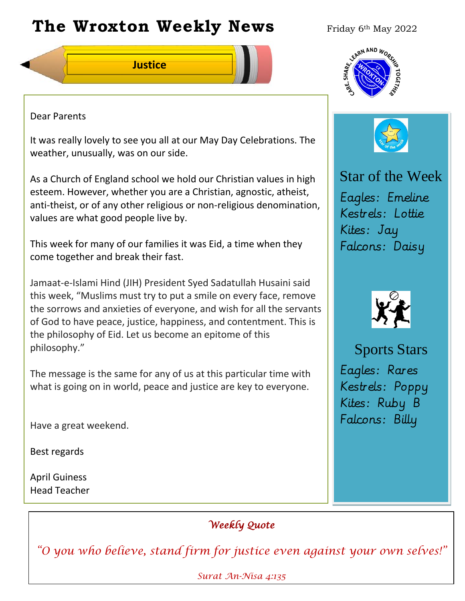# **The Wroxton Weekly News** Friday 6th May 2022

**Justice**



# Dear Parents

It was really lovely to see you all at our May Day Celebrations. The weather, unusually, was on our side.

As a Church of England school we hold our Christian values in high esteem. However, whether you are a Christian, agnostic, atheist, anti-theist, or of any other religious or non-religious denomination, values are what good people live by.

This week for many of our families it was Eid, a time when they come together and break their fast.

Jamaat-e-Islami Hind (JIH) President Syed Sadatullah Husaini said this week, "Muslims must try to put a smile on every face, remove the sorrows and anxieties of everyone, and wish for all the servants of God to have peace, justice, happiness, and contentment. This is the philosophy of Eid. Let us become an epitome of this philosophy."

The message is the same for any of us at this particular time with what is going on in world, peace and justice are key to everyone.

Have a great weekend.

Best regards

April Guiness Head Teacher



Star of the Week Eagles: Emeline Kestrels: Lottie Kites: Jay Falcons: Daisy



Sports Stars Eagles: Rares Kestrels: Poppy Kites: Ruby B Falcons: Billy

**New York 1989** 

# *Weekly Quote*

*"O you who believe, stand firm for justice even against your own selves!"* 

**Fall Festival Nov 4 Teacher Day** *Surat An-Nisa 4:135*  **P**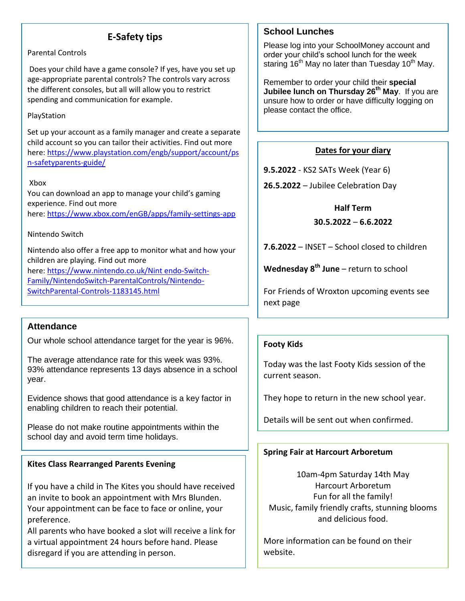# **E-Safety tips**

#### Parental Controls

Does your child have a game console? If yes, have you set up age-appropriate parental controls? The controls vary across the different consoles, but all will allow you to restrict spending and communication for example.

#### PlayStation

Set up your account as a family manager and create a separate child account so you can tailor their activities. Find out more here: [https://www.playstation.com/engb/support/account/ps](https://www.playstation.com/engb/support/account/psn-safetyparents-guide/) [n-safetyparents-guide/](https://www.playstation.com/engb/support/account/psn-safetyparents-guide/)

#### Xbox

You can download an app to manage your child's gaming experience. Find out more here: <https://www.xbox.com/enGB/apps/family-settings-app>

#### Nintendo Switch

Nintendo also offer a free app to monitor what and how your children are playing. Find out more here: [https://www.nintendo.co.uk/Nint](https://www.nintendo.co.uk/Nint%20endo-Switch-Family/NintendoSwitch-ParentalControls/Nintendo-SwitchParental-Controls-1183145.html) endo-Switch-[Family/NintendoSwitch-ParentalControls/Nintendo-](https://www.nintendo.co.uk/Nint%20endo-Switch-Family/NintendoSwitch-ParentalControls/Nintendo-SwitchParental-Controls-1183145.html)

[SwitchParental-Controls-1183145.html](https://www.nintendo.co.uk/Nint%20endo-Switch-Family/NintendoSwitch-ParentalControls/Nintendo-SwitchParental-Controls-1183145.html)

# **Attendance**

Our whole school attendance target for the year is 96%.

The average attendance rate for this week was 93%. 93% attendance represents 13 days absence in a school year.

Evidence shows that good attendance is a key factor in enabling children to reach their potential.

Please do not make routine appointments within the school day and avoid term time holidays.

#### **Kites Class Rearranged Parents Evening**

If you have a child in The Kites you should have received an invite to book an appointment with Mrs Blunden. Your appointment can be face to face or online, your preference.

All parents who have booked a slot will receive a link for a virtual appointment 24 hours before hand. Please disregard if you are attending in person.

## **School Lunches**

Please log into your SchoolMoney account and order your child's school lunch for the week staring  $16<sup>th</sup>$  May no later than Tuesday  $10<sup>th</sup>$  May.

Remember to order your child their **special Jubilee lunch on Thursday 26th May**. If you are unsure how to order or have difficulty logging on please contact the office.

#### **Dates for your diary**

**9.5.2022** - KS2 SATs Week (Year 6)

**26.5.2022** – Jubilee Celebration Day

#### **Half Term**

#### **30.5.2022** – **6.6.2022**

**7.6.2022** – INSET – School closed to children

**Wednesday 8th June** – return to school

For Friends of Wroxton upcoming events see next page

#### **Footy Kids**

Today was the last Footy Kids session of the current season.

They hope to return in the new school year.

Details will be sent out when confirmed.

# **Spring Fair at Harcourt Arboretum**

10am-4pm Saturday 14th May Harcourt Arboretum Fun for all the family! Music, family friendly crafts, stunning blooms and delicious food.

More information can be found on their website.